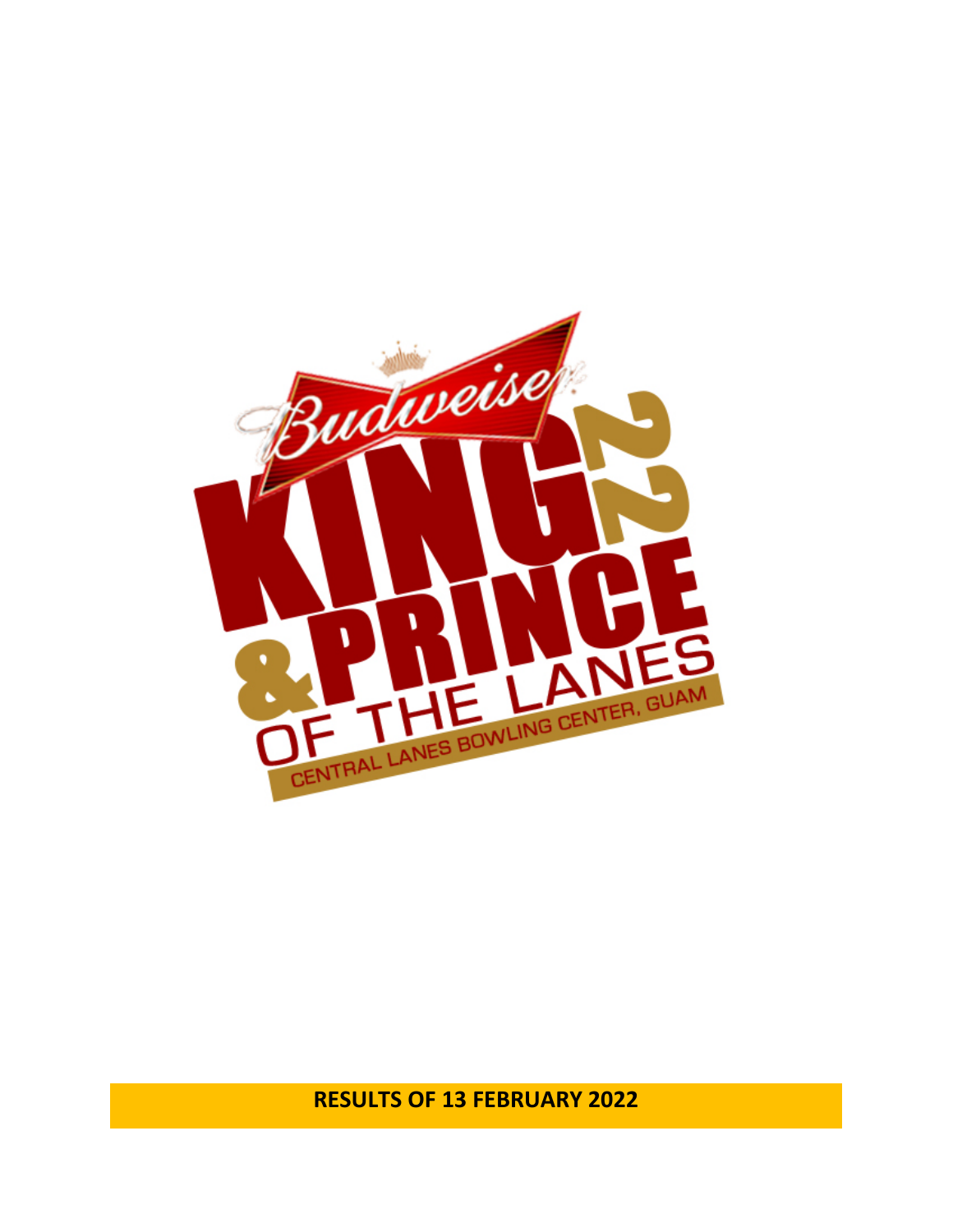

**RESULTS OF 13 FEBRUARY 2022**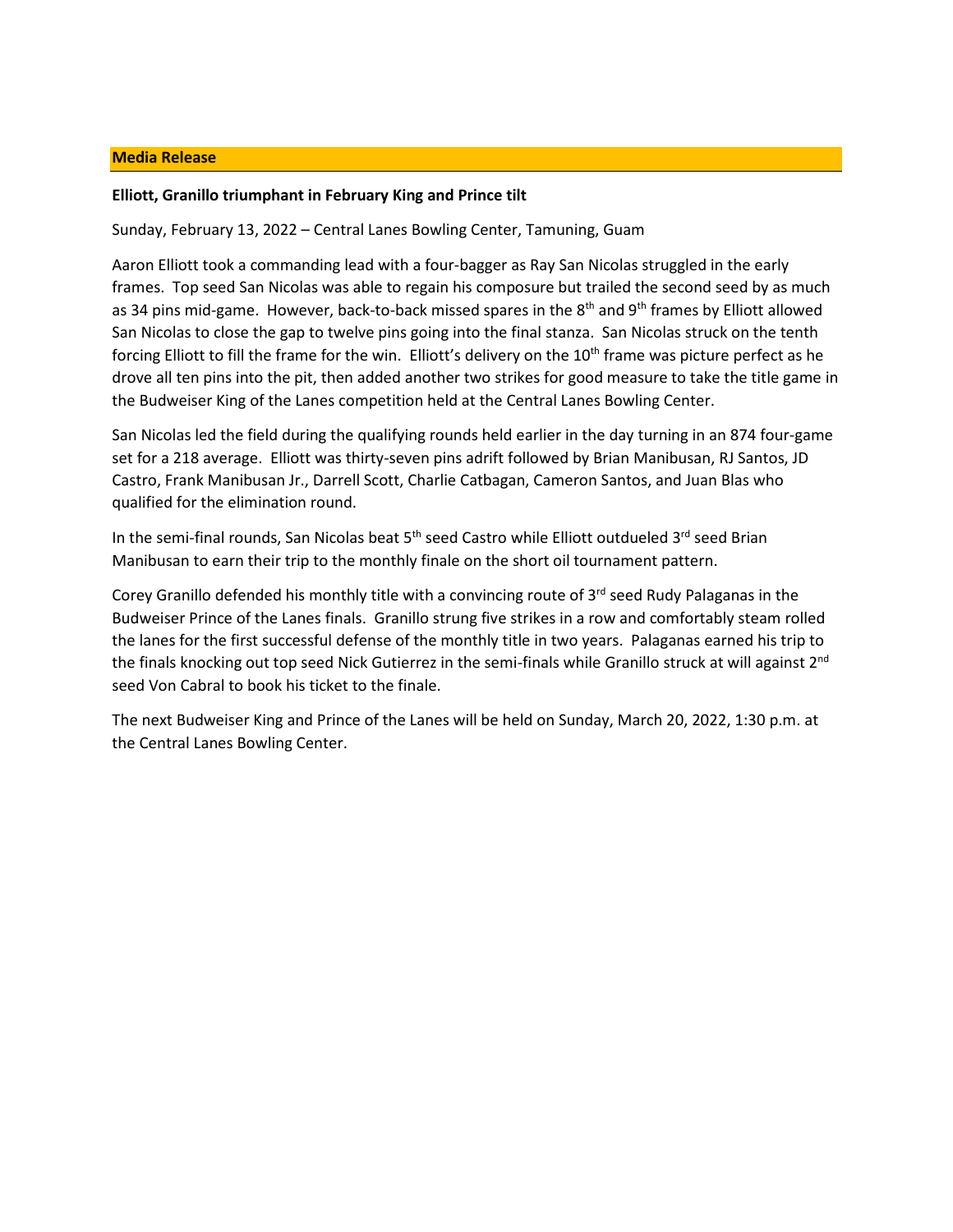# **Media Release**

# **Elliott, Granillo triumphant in February King and Prince tilt**

Sunday, February 13, 2022 – Central Lanes Bowling Center, Tamuning, Guam

Aaron Elliott took a commanding lead with a four-bagger as Ray San Nicolas struggled in the early frames. Top seed San Nicolas was able to regain his composure but trailed the second seed by as much as 34 pins mid-game. However, back-to-back missed spares in the 8<sup>th</sup> and 9<sup>th</sup> frames by Elliott allowed San Nicolas to close the gap to twelve pins going into the final stanza. San Nicolas struck on the tenth forcing Elliott to fill the frame for the win. Elliott's delivery on the 10<sup>th</sup> frame was picture perfect as he drove all ten pins into the pit, then added another two strikes for good measure to take the title game in the Budweiser King of the Lanes competition held at the Central Lanes Bowling Center.

San Nicolas led the field during the qualifying rounds held earlier in the day turning in an 874 four-game set for a 218 average. Elliott was thirty-seven pins adrift followed by Brian Manibusan, RJ Santos, JD Castro, Frank Manibusan Jr., Darrell Scott, Charlie Catbagan, Cameron Santos, and Juan Blas who qualified for the elimination round.

In the semi-final rounds, San Nicolas beat 5<sup>th</sup> seed Castro while Elliott outdueled 3<sup>rd</sup> seed Brian Manibusan to earn their trip to the monthly finale on the short oil tournament pattern.

Corey Granillo defended his monthly title with a convincing route of  $3<sup>rd</sup>$  seed Rudy Palaganas in the Budweiser Prince of the Lanes finals. Granillo strung five strikes in a row and comfortably steam rolled the lanes for the first successful defense of the monthly title in two years. Palaganas earned his trip to the finals knocking out top seed Nick Gutierrez in the semi-finals while Granillo struck at will against 2<sup>nd</sup> seed Von Cabral to book his ticket to the finale.

The next Budweiser King and Prince of the Lanes will be held on Sunday, March 20, 2022, 1:30 p.m. at the Central Lanes Bowling Center.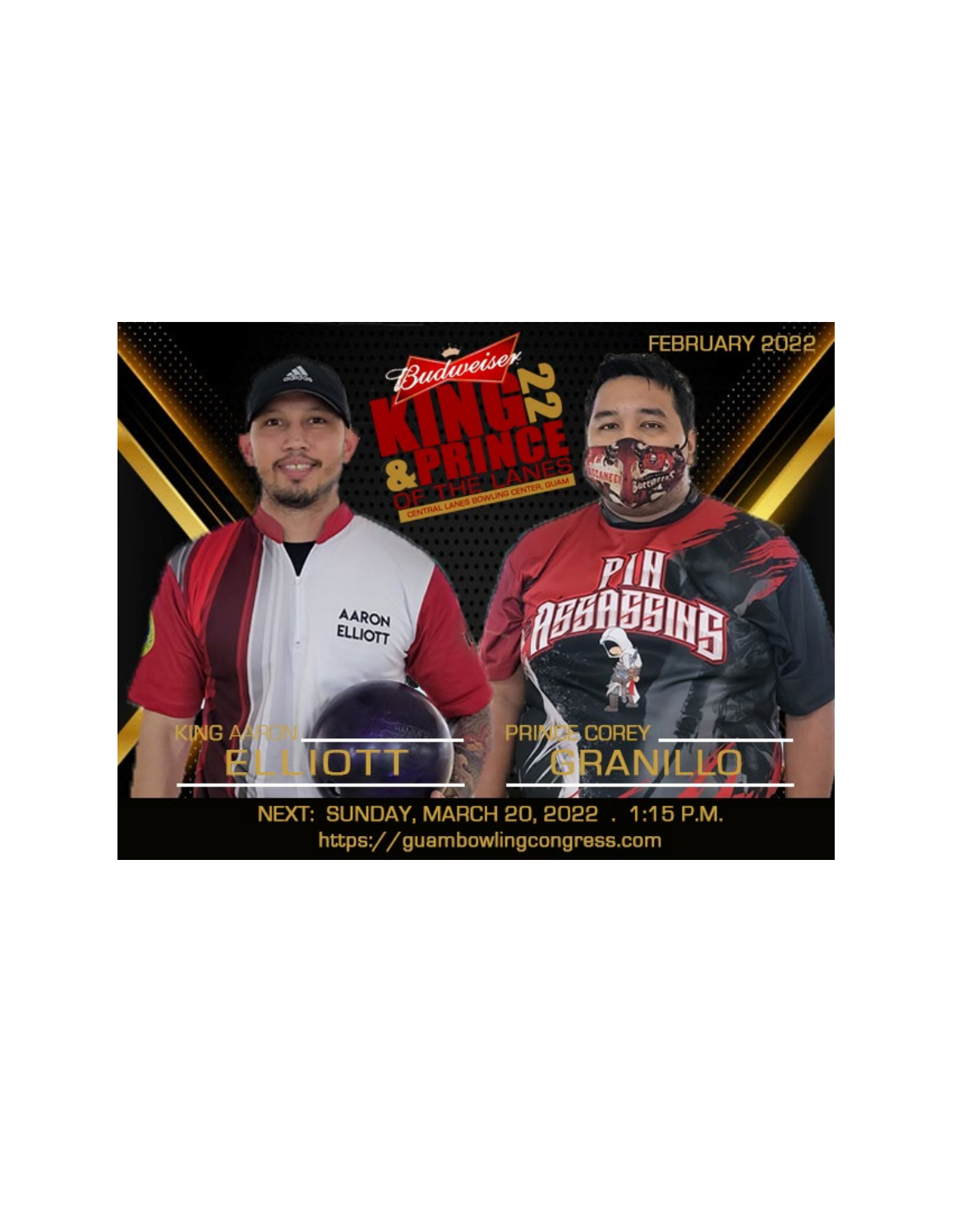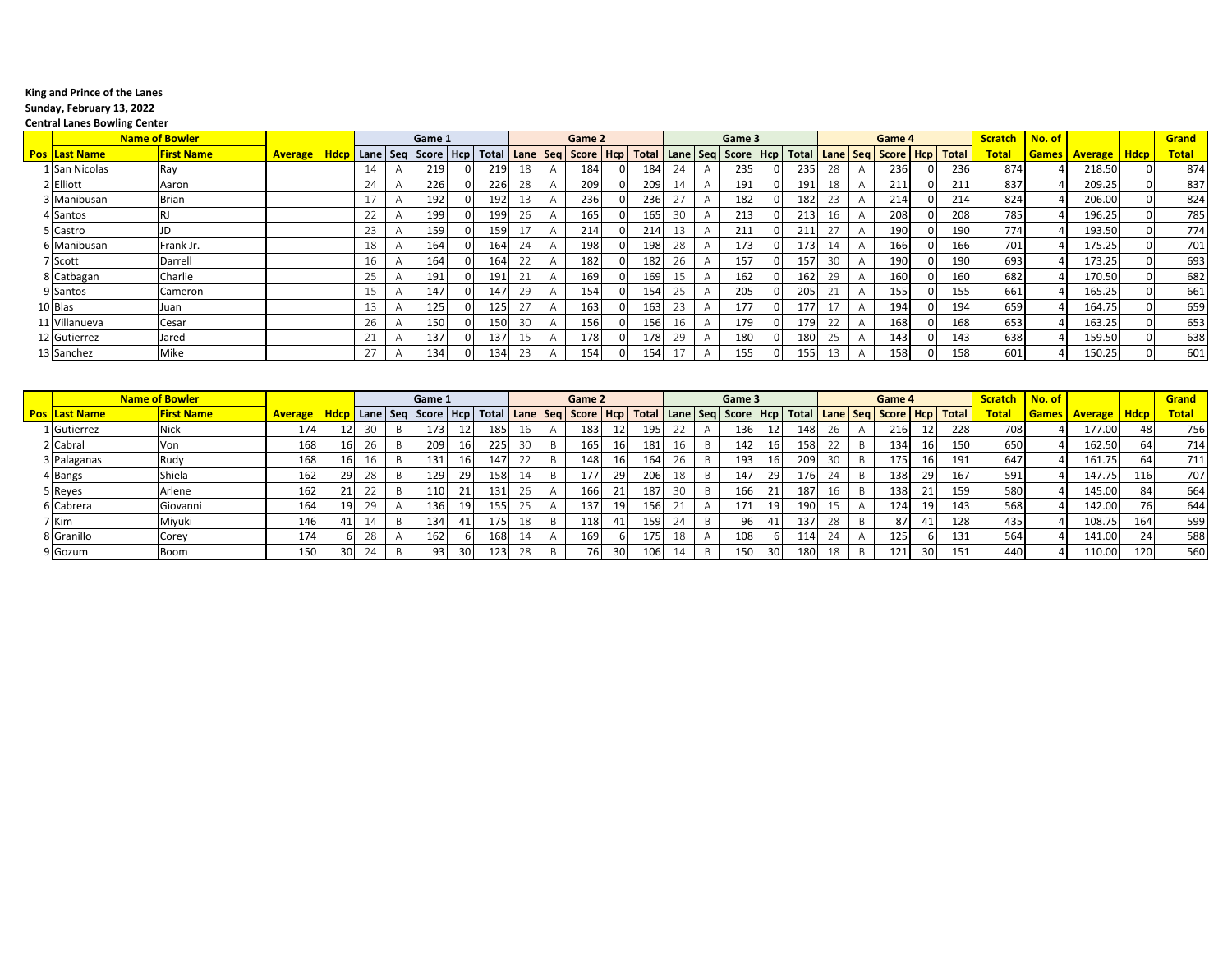#### **King and Prince of the Lanes**

### **Sunday, February 13, 2022**

 $\overline{\phantom{a}}$ 

#### **Central Lanes Bowling Center**

|                      | <b>Name of Bowler</b> |                |                   |          | Game 1                                                                            |     |                          |                | Game 2 |          |     |    |                | Game 3 |          |       |          |                | Game 4                           |       | <b>Scratch</b> | No. of       |                |             | Grand        |
|----------------------|-----------------------|----------------|-------------------|----------|-----------------------------------------------------------------------------------|-----|--------------------------|----------------|--------|----------|-----|----|----------------|--------|----------|-------|----------|----------------|----------------------------------|-------|----------------|--------------|----------------|-------------|--------------|
| <b>Pos Last Name</b> | <b>First Name</b>     | <b>Average</b> | Hdcp   Lane   Seq |          | Score   Hcp   Total   Lane   Seg   Score   Hcp   Total   Lane   Seg   Score   Hcp |     |                          |                |        |          |     |    |                |        |          | Total |          |                | Lane   Seg   Score   Hcp   Total |       | Total          | <b>Games</b> | <b>Average</b> | <b>Hdcp</b> | <b>Total</b> |
| 1 San Nicolas        | Ray                   |                |                   | -14      | 219                                                                               | 219 | 18                       | $\overline{A}$ | 184    |          | 184 | 24 |                | 235    | $\Omega$ | 235   | $\cap$   |                | 236                              | 236   | 874            |              | 218.50         |             | 874          |
| 2 Elliott            | Aaron                 |                |                   | 24       | 226                                                                               | 226 | 28                       | A              | 209    | 0        | 209 | 14 |                | 191    | 0        | 191   |          |                | 211                              | 211   | 837            |              | 209.25         |             | 837          |
| 3 Manibusan          | Brian                 |                |                   | 17       | 192                                                                               | 192 |                          |                | 236    |          | 236 |    |                | 182    | $\Omega$ | 182   | 23       |                | 214                              | 214   | 824            |              | 206.00         |             | 824          |
| 4 Santos             |                       |                |                   | 22       | 199                                                                               | 199 | 26                       | $\mathsf{A}$   | 165    | $\Omega$ | 165 | 30 | $\overline{A}$ | 213    | $\Omega$ | 213   |          |                | 208                              | 208   | 785            |              | 196.25         |             | 785          |
| 5 Castro             |                       |                |                   | 23       | 159'                                                                              | 159 |                          |                | 214    |          | 214 |    |                | 211    | $\Omega$ | 211   |          |                | 190                              | 190   | 774            |              | 193.50         |             | 774          |
| 6 Manibusan          | Frank Jr.             |                |                   | 18       | 164                                                                               | 164 | 24                       | A              | 198    |          | 198 | 28 |                | 173    | 0        | 173   |          | $\overline{ }$ | 166                              | 166   | 701            |              | 175.25         |             | 701          |
| 7 Scott              | Darrell               |                |                   | 16       | 164                                                                               | 164 | ำา                       |                | 182    |          | 182 | 26 |                | 157    | $\Omega$ | 157   | 30       |                | 190                              | 190   | 693            |              | 173.25         |             | 693          |
| 8 Catbagan           | Charlie               |                |                   | 25       | 191                                                                               | 191 | 21                       |                | 169    |          | 169 |    |                | 162    | $\Omega$ | 162   | $\Omega$ |                | 160                              | 160   | 682            |              | 170.50         |             | 682          |
| 9 Santos             | Cameron               |                |                   | 1 F      | 147                                                                               | 147 | 29                       |                | 154    |          | 154 | 25 |                | 205    | $\Omega$ | 205   |          |                | 155                              | 155   | 661            |              | 165.25         |             | 661          |
| 10 Blas              | Juan                  |                |                   |          | 125                                                                               | 125 | $\overline{\phantom{a}}$ | $\overline{A}$ | 163    |          | 163 | 23 |                | 177    | 0        | 177   |          |                | 194                              | 194   | 659            |              | 164.75         |             | 659          |
| 11 Villanueva        | Cesar                 |                |                   | 26       | 150                                                                               | 150 | 30                       | $\mathsf{A}$   | 156    |          | 156 | 16 |                | 179    | 0        | 179   | $\cap$   |                | 168                              | 168 l | 653            |              | 163.25         |             | 653          |
| 12 Gutierrez         | Jared                 |                |                   | $\angle$ | 137                                                                               | 137 |                          |                | 178    |          | 178 | 29 |                | 180    | 0        | 180   |          |                | 143                              | 143   | 638            |              | 159.50         |             | 638          |
| 13 Sanchez           | Mike                  |                |                   | 77       | 134                                                                               | 134 | $\cap$                   |                | 154    |          | 154 |    |                | 155    | $\Omega$ | 155   |          |                | 158                              | ا 58  | 601            |              | 150.25         |             | 601          |

|                      | <b>Name of Bowler</b> |                |             |          | Game 1             |     |       |     | Game 2             |                 |             |        | Game 3 |                 |                                  |      | Game 4              |                 |      | <b>Scratch</b> | No. of       |                |             | <b>Grand</b> |
|----------------------|-----------------------|----------------|-------------|----------|--------------------|-----|-------|-----|--------------------|-----------------|-------------|--------|--------|-----------------|----------------------------------|------|---------------------|-----------------|------|----------------|--------------|----------------|-------------|--------------|
| <b>Pos Last Name</b> | <b>First Name</b>     | <b>Average</b> | <b>Hdcp</b> |          | Lane   Seg   Score | Hcp | Total |     | Lane   Seg   Score | Hcp             | <b>Tota</b> |        |        |                 | Lane   Seq   Score   Hcp   Total | Lane | Seg Score Hcp Total |                 |      | Tota           | <b>Games</b> | <b>Average</b> | <b>Hdcp</b> | <b>Total</b> |
| 1 Gutierrez          | <b>Nick</b>           | 174            |             |          | 173                |     | 18    | 16  | 183                |                 | 195         | $\sim$ | 136    | 12 <sub>1</sub> | 148                              |      | 216                 | 12              | 2281 | 708            |              | 177.00         | 48          | 756          |
| 2 Cabral             | Von                   | 168            |             |          | 209                |     | 225   | 30  | 165                | 16              | 181         | 16     | 142    | 16 <sup>1</sup> | 158                              |      | 134                 | <b>16</b>       | 150  | 650            |              | 162.50         | 64          | 714          |
| 3 Palaganas          | Rudy                  | 168            |             |          | 131                |     | 147   |     | 148                | 16              | 164         | 26     | 193    | 16              | 209                              |      | 175                 | 16 <sup>1</sup> | 191  | 647            |              | 161.75         | 64          | 7111         |
| 4 Bangs              | Shiela                | 162            | 29          | 28       | 129                | 29  |       |     | 177                | 29              | 206         | 18     | 147    | 29              | 176                              |      | 138                 | 29              | 167  | 591            |              | 147.75         | 116         | 707          |
| 5 Reyes              | Arlene                | 162            | ᅀᄔ          |          | 110                | 21  | 13.   | 26  | 166                | 21              | 187         | 30     | 166    | 21              | 187                              |      | 138                 | 211             | 159  | 580            |              | 145.00         | 84          | 664          |
| 6 Cabrera            | Giovanni              | 164            | 19          |          | 136                | 19  | 15!   | n F | 137                | 19 <sub>l</sub> | 156         | 24     | 171    | 19 I            | 190                              |      | 124                 | <b>19</b>       | 143  | 568            |              | 142.00         | 76 I        | 644          |
| 7 Kim                | Miyuki                | 146            |             |          | 134                | 41  | 175   | 18  | 118                | 41              | 159         | 24     | 96     | 41              | 137                              | 28   | 87                  | 41              | 128  | 435            |              | 108.75         | 164         | 599          |
| 8 Granillo           | Corey                 | 174            |             | າດ<br>Zŏ | 162                |     | 168   | -14 | 169                |                 | 175         | 18     | 1081   |                 | 114                              |      | 125                 |                 | 131  | 564            |              | 141.00         | 24          | 588          |
| 9 Gozum              | Boom                  | 150            |             |          | 93                 | -30 | 123   | 28  |                    | ٩n              | 106         |        | 150    | 30 <sup>1</sup> | 180                              |      |                     | 30              | 151  | 440            |              | 110.00         | 120         | 560          |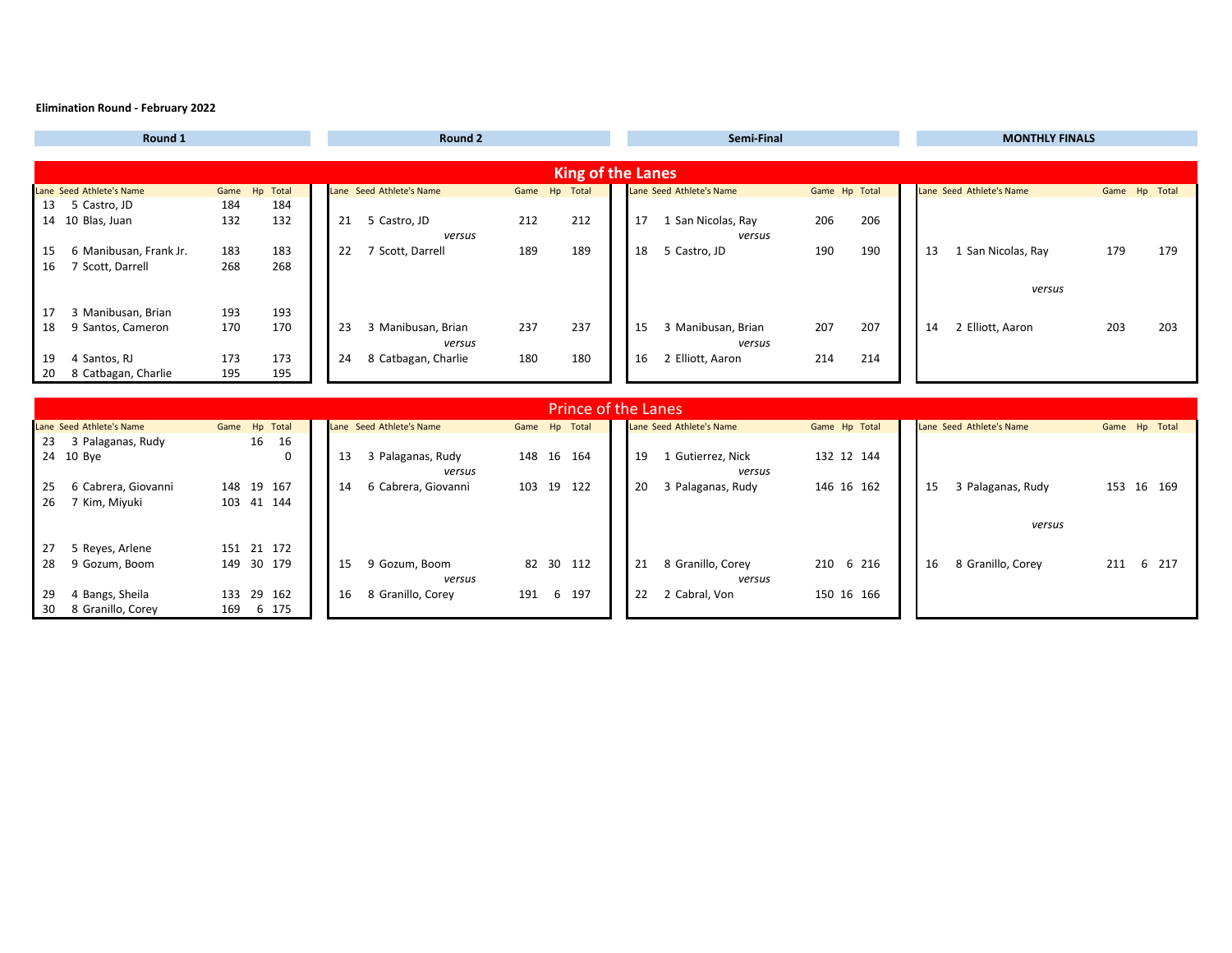#### **Elimination Round - February 2022**

| Round 1                                    | Round 2                                    | Semi-Final                                     | <b>MONTHLY FINALS</b>                     |  |  |  |  |  |
|--------------------------------------------|--------------------------------------------|------------------------------------------------|-------------------------------------------|--|--|--|--|--|
|                                            |                                            |                                                |                                           |  |  |  |  |  |
|                                            | <b>King of the Lanes</b>                   |                                                |                                           |  |  |  |  |  |
| Lane Seed Athlete's Name<br>Game Hp Total  | Game Hp Total<br>Lane Seed Athlete's Name  | Lane Seed Athlete's Name<br>Game Hp Total      | Lane Seed Athlete's Name<br>Game Hp Total |  |  |  |  |  |
| 5 Castro, JD<br>184<br>184<br>13           |                                            |                                                |                                           |  |  |  |  |  |
| 132<br>132<br>14 10 Blas, Juan             | 212<br>21 5 Castro, JD<br>212              | 17<br>1 San Nicolas, Ray<br>206<br>206         |                                           |  |  |  |  |  |
|                                            | versus                                     | versus                                         |                                           |  |  |  |  |  |
| 6 Manibusan, Frank Jr.<br>183<br>183<br>15 | 189<br>189<br>22<br>7 Scott, Darrell       | 190<br>18<br>5 Castro, JD<br>190               | 1 San Nicolas, Ray<br>179<br>13<br>179    |  |  |  |  |  |
| 268<br>268<br>7 Scott, Darrell<br>16       |                                            |                                                |                                           |  |  |  |  |  |
|                                            |                                            |                                                | versus                                    |  |  |  |  |  |
| 3 Manibusan, Brian<br>193<br>193<br>17     |                                            |                                                |                                           |  |  |  |  |  |
| 170<br>170<br>9 Santos, Cameron<br>18      | 3 Manibusan, Brian<br>237<br>237<br>23     | 3 Manibusan, Brian<br>207<br>15<br>207         | 2 Elliott, Aaron<br>203<br>203<br>14      |  |  |  |  |  |
|                                            | versus                                     | versus                                         |                                           |  |  |  |  |  |
| 4 Santos, RJ<br>173<br>173<br>19           | 24<br>8 Catbagan, Charlie<br>180<br>180    | 16<br>2 Elliott, Aaron<br>214<br>214           |                                           |  |  |  |  |  |
| 8 Catbagan, Charlie<br>195<br>20<br>195    |                                            |                                                |                                           |  |  |  |  |  |
|                                            |                                            |                                                |                                           |  |  |  |  |  |
|                                            | <b>Prince of the Lanes</b>                 |                                                |                                           |  |  |  |  |  |
| Lane Seed Athlete's Name<br>Game Hp Total  | Lane Seed Athlete's Name<br>Game Hp Total  | Lane Seed Athlete's Name<br>Game Hp Total      | Lane Seed Athlete's Name<br>Game Hp Total |  |  |  |  |  |
| 16<br>23<br>3 Palaganas, Rudy<br>16        |                                            |                                                |                                           |  |  |  |  |  |
| 24 10 Bye<br>0                             | 3 Palaganas, Rudy<br>148 16 164<br>13      | 19<br>1 Gutierrez, Nick<br>132 12 144          |                                           |  |  |  |  |  |
|                                            | versus                                     | versus                                         |                                           |  |  |  |  |  |
| 6 Cabrera, Giovanni<br>148 19 167<br>25    | 6 Cabrera, Giovanni<br>103 19 122<br>14    | 20<br>3 Palaganas, Rudy<br>146 16 162          | 3 Palaganas, Rudy<br>153 16 169<br>15     |  |  |  |  |  |
| 26<br>7 Kim, Miyuki<br>103 41 144          |                                            |                                                |                                           |  |  |  |  |  |
|                                            |                                            |                                                | versus                                    |  |  |  |  |  |
|                                            |                                            |                                                |                                           |  |  |  |  |  |
| 5 Reyes, Arlene<br>151 21 172<br>27        |                                            |                                                |                                           |  |  |  |  |  |
| 149 30 179<br>28<br>9 Gozum, Boom          | 9 Gozum, Boom<br>82 30 112<br>15<br>versus | 8 Granillo, Corey<br>21<br>210 6 216<br>versus | 8 Granillo, Corey<br>211 6 217<br>16      |  |  |  |  |  |
| 4 Bangs, Sheila<br>133 29 162<br>29        | 16 8 Granillo, Corey<br>191 6 197          | 2 Cabral, Von<br>22<br>150 16 166              |                                           |  |  |  |  |  |
| 30 8 Granillo, Corey<br>169 6 175          |                                            |                                                |                                           |  |  |  |  |  |